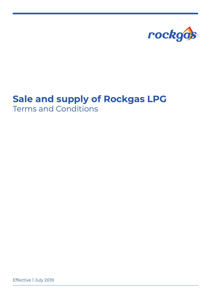

# **Sale and supply of Rockgas LPG** Terms and Conditions

Effective 1 July 2019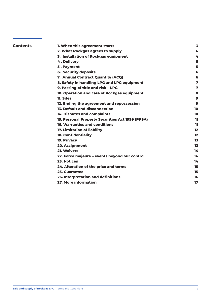| <b>Contents</b> | 1. When this agreement starts                    | 3       |
|-----------------|--------------------------------------------------|---------|
|                 | 2. What Rockgas agrees to supply                 | 4       |
|                 | 3. Installation of Rockgas equipment             | 4       |
|                 | 4. Delivery                                      | 5       |
|                 | 5. Payment                                       | 5       |
|                 | <b>6. Security deposits</b>                      | 6       |
|                 | 7. Annual Contract Quantity (ACQ)                | 6       |
|                 | 8. Safety in handling LPG and LPG equipment      | 7       |
|                 | 9. Passing of title and risk - LPG               | 7       |
|                 | 10. Operation and care of Rockgas equipment      | 8       |
|                 | <b>11. Sites</b>                                 | 9       |
|                 | 12. Ending the agreement and repossession        | 9       |
|                 | <b>13. Default and disconnection</b>             | 10      |
|                 | 14. Disputes and complaints                      | 10      |
|                 | 15. Personal Property Securities Act 1999 (PPSA) | 11.     |
|                 | <b>16. Warranties and conditions</b>             | 11.     |
|                 | 17. Limitation of liability                      | $12 \,$ |
|                 | <b>18. Confidentiality</b>                       | $12 \,$ |
|                 | 19. Privacy                                      | 13      |
|                 | 20. Assignment                                   | 13      |
|                 | <b>21. Waivers</b>                               | 14      |
|                 | 22. Force majeure - events beyond our control    | 14      |
|                 | 23. Notices                                      | 14      |
|                 | 24. Alteration of the price and terms            | 15      |
|                 | <b>25. Guarantee</b>                             | 15      |
|                 | 26. Interpretation and definitions               | 16      |
|                 | 27. More information                             | 17      |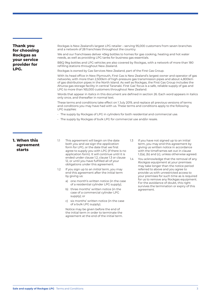**Thank you for choosing Rockgas as your service provider for LPG.** 

Rockgas is New Zealand's largest LPG retailer – serving 95,000 customers from seven branches and a network of 28 franchises throughout the country.

We and our franchisees deliver 45kg bottles to homes for gas cooking, heating and hot water needs, as well as providing LPG tanks for business gas essentials.

BBQ 9kg bottles and LPG vehicles are also covered by Rockgas, with a network of more than 180 refilling stations throughout New Zealand.

Rockgas is owned by Gas Services New Zealand, part of the First Gas Group.

With its head office in New Plymouth, First Gas is New Zealand's largest owner and operator of gas networks, with more than 2,500km of high-pressure gas transmission pipes and about 4,800km of gas distribution pipes in the North Island. As well as Rockgas, the First Gas Group includes the Ahuroa gas storage facility in central Taranaki. First Gas' focus is a safe, reliable supply of gas and LPG to more than 165,000 customers throughout New Zealand.

Words that appear in italics in this document are defined in section 26. Each word appears in italics only once, and thereafter in normal text.

These terms and conditions take effect on 1 July 2019, and replace all previous versions of terms and conditions you may have had with us. These terms and conditions apply to the following LPG supplies:

- The supply by Rockgas of LPG in cylinders for both residential and commercial use.
- The supply by Rockgas of bulk LPG for commercial use and/or resale.

#### **1. When this agreement starts**

- 1.1 This agreement will begin on the date both *you* and *we* sign the *application* form for LPG, or the date that we first agree to supply you with LPG (if there is no application form). It will continue until it is ended under clause 1.2, clause 1.3 or clause 12, or until you have fulfilled all of your obligations under this agreement.
- 1.2 If you sign up to an *initial term*, you may end this agreement after the initial term by giving us:
	- a) one month's written notice (in the case of a residential cylinder LPG supply);
	- b) three months' written notice (in the case of a commercial cylinder LPG supply); or
	- c) six months' written notice (in the case of a bulk LPG supply).

 Notice may be given before the end of the initial term in order to terminate the agreement at the end of the initial term.

- 1.3 If you have not signed up to an initial term, you may end this agreement by giving us written notice in accordance with the timeframes set out in clause 1.2(a), (b) and (c), unless otherwise agreed.
- 1.4 You acknowledge that the removal of any *Rockgas equipment* at your premises may take longer than the notice period referred to above and you agree to provide us with unrestricted access to your premises for such time as is required for us to remove any Rockgas equipment. For the avoidance of doubt, this right survives the termination or expiry of this agreement.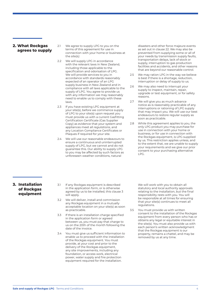#### **2. What Rockgas agrees to supply**

- 2.1 We agree to supply LPG to you on the terms of this agreement for use in connection with your home or business at the *site(s)*.
- 2.2 We will supply LPG in accordance with the relevant laws in New Zealand, including those applicable to the specification and odorisation of LPG. We will provide services to you in accordance with standards reasonably expected of an operator of an LPG supply business in New Zealand and in compliance with all laws applicable to the supply of LPG. You agree to provide us with any information we may reasonably need to enable us to comply with these laws.
- 2.3 If you have existing LPG equipment at your site(s), before we commence supply of LPG to your site(s) upon request you must provide us with a current Gasfitting Certification Certificate (Gas Supplier Copy) as evidence that your system and appliances meet all *regulations*, and any Location Compliance Certificates or Plaques if required for your site.
- 2.4 We will use our reasonable endeavours to ensure a continuous and uninterrupted supply of LPG, but we cannot and do not guarantee this. Our ability to supply LPG to you may be affected by such factors as unforeseen weather conditions, natural

disasters and other force majeure events as set out in clause 22. We may also be prevented from supplying some or all of your needs by transmission supply faults, transportation delays, lack of stock or supply, interruption to gas production facilities and accidents, and other reasons that are beyond our reasonable control.

- 2.5 We may ration LPG in the way we believe is best if there is a shortage, reduction, interruption or delay of supply to us.
- 2.6 We may also need to interrupt your supply to inspect, maintain, repair, upgrade or test equipment, or for safety reasons.
- 2.7 We will give you as much advance notice as is reasonably practicable of any interruptions or rationing of LPG supply that may impact you. We will use our best endeavours to restore regular supply as soon as practicable.
- 2.8 While this agreement applies to you, the only LPG product you may purchase for use in connection with your home or business, or for use in connection with the Rockgas equipment, is LPG supplied by us. This restriction applies unless, and to the extent that, we are unable to supply your requirements and we give our prior consent to your purchasing alternative LPG.

#### **3. Installation of Rockgas equipment**

- 3.1 If any Rockgas equipment is described in the application form, or is otherwise agreed by us to be installed, this clause 3 will apply.
- 3.2 We will deliver, install and commission any Rockgas equipment in a mutually acceptable location on your site(s) as soon as practicable.
- 3.3 If there is an installation charge specified in the application form or agreed between us, you must pay that charge to us on the 20th of the month following the date of the invoice.
- 3.4 You must give us sufficient information to enable us to proceed with the installation of the Rockgas equipment. You must provide, at your cost and prior to the delivery of the Rockgas equipment, any site improvements, including any foundation, or access work, electrical power, water supply and fire protection equipment required for the installation.

We will work with you to obtain all statutory and local authority approvals relating to the installation, but the final responsibility rests with you. You will be responsible at all times for ensuring that your site(s) continues to meet all regulations.

3.5 You must provide us with written consent to the installation of the Rockgas equipment from every person who has or obtains any legal or equitable interest in the site(s). You must also provide us with each person's written acknowledgment that the Rockgas equipment is our property, remains a chattel, and may be removed by us at any time.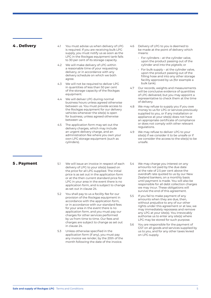#### **4 . Delivery**

- 4.1 You must advise us when delivery of LPG is required. If you are receiving bulk LPG supply, you must notify us as soon as the LPG in the Rockgas equipment tank falls to 30 per cent of its storage capacity.
- 4.2 We will make delivery of LPG within a reasonable time of your requesting delivery, or in accordance with any delivery schedule on which we both agree.
- 4.3 We will not be required to deliver LPG in quantities of less than 50 per cent of the storage capacity of the Rockgas equipment.
- 4.4 We will deliver LPG during normal business hours unless agreed otherwise between us. You must provide access to the Rockgas equipment for our delivery vehicles whenever the site(s) is open for business, unless agreed otherwise between us.
- 4.5 The application form may set out the delivery charges, which may include an urgent delivery charge, and an administration fee where you own your own LPG storage equipment (such as cylinders).
- 4.6 Delivery of LPG to you is deemed to be made at the point of delivery which means:
	- For cylinders at the cylinder valve, upon the product passing out of the cylinder and into the *pigtails*; or
	- For bulk supply at the cylinder valve, upon the product passing out of the filling hose and into any other storage facility approved by us (for example a bulk tank).
- 4.7 Our records, weights and measurements will be conclusive evidence of quantities of LPG delivered, but you may appoint a representative to check them at the time of delivery.
- 4.8 We may refuse to supply you if you owe money to us for LPG or services previously supplied to you, or if any installation or appliance at your site(s) does not have an appropriate certificate of compliance or does not comply with other relevant regulations.
- 4.9 We may refuse to deliver LPG to your site(s) if we consider it to be unsafe or if we consider the access to the site(s) to be unsafe.

#### **5 . Payment**

- 5.1 We will issue an invoice in respect of each delivery of LPG to your site(s) based on the *price* for all LPG supplied. The initial price is as set out in the application form or at the then current standard price for LPG in your area in the event there is no application form, and is subject to change as set out in clause 24.
- 5.2 You shall pay to us a *facility fee* for our provision of the Rockgas equipment in accordance with the application form, or in accordance with our standard fees for your area in the event there is no application form, and you must pay our charges for other services performed by us from time to time. Our fees and charges are subject to change as set out in clause 24.
- 5.3 Unless otherwise specified in the application form (if any), you must pay any invoice we render, by the 20th of the month following the date of the invoice.
- 5.4 We may charge you interest on any amounts not paid by the due date at the rate of 2.5 per cent above the overdraft rate quoted to us by our New Zealand bankers, on a monthly basis until payment is made. You will also be responsible for all debt collection charges we may incur. These obligations will survive the end of this agreement.
- 5.5 If you fail to make payment of any amounts when they are due, then, without prejudice to any of our other rights under this agreement or at law, we may immediately repossess and remove any LPG at your site(s). You irrevocably authorise us to enter any site(s) where LPG may be stored for such purpose.
- 5.6 You are responsible for the payment of GST on all goods and services supplied by us to you, and for any other taxes levied on LPG supply.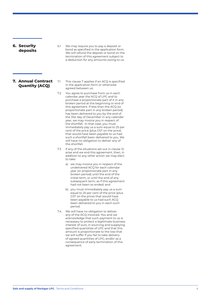## **6. Security deposits**  6.1 We may require you to pay a deposit or bond as specified in the application form. We will refund the deposit or bond on the termination of this agreement subject to a deduction for any amounts owing to us. **7. Annual Contract Quantity (ACQ)**  agreed between us. 7.2 You agree to purchase from us in each

- 7.1 This clause 7 applies if an ACQ is specified in the application form or otherwise
	- calendar year the ACQ of LPG and to purchase a proportionate part of it in any broken period at the beginning or end of this agreement. If less than the ACQ (or proportionate part in any broken period) has been delivered to you by the end of the 31st day of December in any calendar year, we may invoice you in respect of the shortfall. In that case, you must immediately pay us a sum equal to 25 per cent of the price (plus GST on the price) that would have been payable to us had such a shortfall been delivered to you. We will have no obligation to deliver any of the shortfall.
- 7.3 If any of the situations set out in clause 12 arise and we end this agreement, then, in addition to any other action we may elect to take:
	- a) we may invoice you in respect of the undelivered ACQ for each calendar year (or proportionate part in any broken period) until the end of the initial term, or until the end of any subsequent term, as if this agreement had not been so ended; and
	- b) you must immediately pay us a sum equal to 25 per cent of the price (plus GST on the price) that would have been payable to us had such ACQ been delivered to you in each such period.
- 7.4 We will have no obligation to deliver any of the ACQ invoiced. You and we acknowledge that such payment to us is necessary to protect a legitimate business interest of ours, in sourcing and supplying specified quantities of LPG and that this amount is proportionate to the loss that we will suffer if you fail to take delivery of agreed quantities of LPG; and/or as a consequence of early termination of this agreement.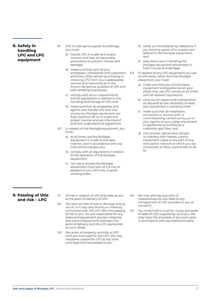**8. Safety in handling LPG and LPG equipment**

- 8.1 LPG is a dangerous good. Accordingly, you must:
	- a) handle LPG in a safe and proper manner and take all reasonable precautions to prevent misuse and damage;
	- b) make sure that each of your employees, contractors and customers and every other person purchasing or receiving LPG from you is adequately warned and instructed as to the known dangerous qualities of LPG and safe handling procedures;
	- c) comply with all our requirements and all regulations in relation to the handling and storage of LPG; and
	- d) make sure that all employees and agents who handle LPG and who access any Rockgas equipment are fully trained to do so in a safe and proper manner and are informed of and fully understand all regulations.
- 8.2 In respect of the Rockgas equipment, you must:
	- a) at all times use the Rockgas equipment in a safe and proper manner, and in accordance with any instructions we give you;
	- b) comply with all regulations in relation to the operation of the Rockgas equipment;
	- c) not use or access the Rockgas equipment if any part of it is not, or appears to you not to be, in good working order;
- d) notify us immediately by telephone if you become aware of or suspect any defects in the Rockgas equipment; and
- e) take every care in handling the Rockgas equipment and protect it from misuse and damage.
- 8.3 In respect of any LPG equipment you use on the site(s), other than the Rockgas equipment, you must:
	- a) make sure that you and all pipes, equipment and appliances on your site(s) that use LPG comply at all times with all relevant regulations;
	- b) carry out all repairs and maintenance as required by law necessary to keep your equipment in working order;
	- c) make sure that all installation, conversion or service work or commissioning carried out by you or your agents on your pipes, equipment or appliances is certified by a craftsman gas fitter; and
	- d) not connect, disconnect, tamper or interfere with meters, control equipment, pipes or any part of any reticulation network to which you are connected, or allow anyone else to do so.

### **9. Passing of title and risk – LPG**

- 9.1 All risk in respect of LPG shall pass to you at the *point of delivery* of LPG.
- 9.2 You bear all risks of loss or damage arising out of, or in any way directly or indirectly connected with, the LPG after the passing of risk to you. You are responsible for any pipes and equipment (except metering and control equipment) between the point of delivery and the LPG appliances on your site(s).
- 9.3 We retain all property and title in LPG until you have paid for the LPG. We may repossess unpaid-for LPG at any time until legal title has passed to you.
- 9.4 We may allocate payment of indebtedness for any debt to any consignment of LPG provided to you as we see fit.
- 9.5 You must hold in trust for us any proceeds of sales of LPG supplied by us to you. We may trace the proceeds of any such sales in accordance with equitable principles.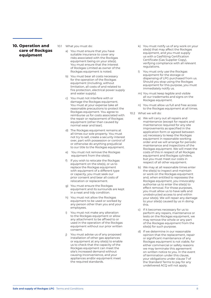#### **10. Operation and care of Rockgas equipment**

- 10.1 What you must do:
	- a) You must ensure that you have suitable insurance to cover any risks associated with the Rockgas equipment being on your site(s). You must ensure that the interest of Rockgas Limited as owner of the Rockgas equipment is noted.
	- b) You must bear all costs necessary for the operation of the Rockgas equipment (including, without limitation, all costs of and related to fire protection, electrical power supply and water supply).
	- c) You must not interfere with or damage the Rockgas equipment. You must at your expense take all reasonable precautions to protect the Rockgas equipment. You agree to reimburse us for costs associated with the repair or replacement of Rockgas equipment (other than caused by normal wear and tear).
	- d) The Rockgas equipment remains at all times our sole property. You must not try to sell, create a security interest over, part with possession or control of or otherwise do anything prejudicial to our title to the Rockgas equipment.
	- e) You must not remove the Rockgas equipment from the site(s).
	- f) If you wish to relocate the Rockgas equipment on the site(s), or us to replace the Rockgas equipment with equipment of a different type or capacity, you must seek our prior consent and bear all costs of relocation or replacement.
	- g) You must ensure the Rockgas equipment and its surrounds are kept in a neat and tidy condition.
	- h) You must not allow the Rockgas equipment to be used or worked by any person other than you and your employees.
	- i) You must not make any alteration to the Rockgas equipment or allow any attachment to be affixed to or used in the operation of the Rockgas equipment without our prior written consent.
	- i) You must advise us of any proposed installation of other gas appliances or equipment at any site(s) to enable us to check that the capacity of the Rockgas equipment can meet the site's increased demand without causing inconvenience, and your appliances and/or equipment meet the required standards.
- k) You must notify us of any work on your site(s) that may affect the Rockgas equipment, and you must supply us with a Gasfitting Certification Certificate (Gas Supplier Copy), verifying compliance with all relevant regulations.
- l) You must only use the Rockgas equipment for the storage or dispensing of LPG purchased from us. Should you stop using the Rockgas equipment for this purpose, you must immediately notify us.
- m) You must keep legible and visible all our trademarks and signs on the Rockgas equipment.
- n) You must allow us full and free access to the Rockgas equipment at all times.
- 10.2 What we will do:
	- a) We will carry out all repairs and maintenance (except for repairs and maintenance required for any site improvements as specified in the application form or agreed between us) necessary to keep the Rockgas equipment in reasonable working order and we will arrange for periodic maintenance and inspections of the Rockgas equipment. We will meet the costs of this in respect of all Rockgas equipment and Rockgas cylinders, but you must meet our costs in respect of all other equipment.
	- b) We may at all reasonable times enter the site(s) to inspect and maintain or work on the Rockgas equipment and, when entitled to repossess the Rockgas equipment, you irrevocably authorise us to enter the site(s) to effect removal. For those purposes, you must allow us to have safe and unobstructed access to and within your site(s). We will repair any damage to your site(s) caused by us in doing this.
	- c) If it becomes necessary for us to perform any repairs, maintenance or tests on the Rockgas equipment, we may remove the whole or any part of the Rockgas equipment from the site(s) for such purpose.
	- d) If we determine in our reasonable opinion that the replacement, repair or significant maintenance of any Rockgas equipment is not viable, for either commercial or safety reasons we may terminate this agreement on written notice to you. In the event of termination under this clause, your obligations under clause 7 of the Standard Terms to pay for any undelivered ACQ will not apply.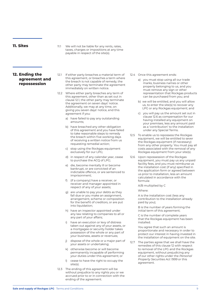11.1 We will not be liable for any rents, rates, taxes, charges or impositions at any time payable in respect of the site(s).

#### **12. Ending the agreement and repossession**

- 12.1 If either party breaches a material term of this agreement, or breaches a term where the breach is not capable of remedy, the other party may terminate the agreement immediately on written notice.
- 12.2 Where either party breaches any term of this agreement, other than as set out in clause 12.1, the other party may terminate the agreement on seven days' notice. Additionally, we may at any time, on giving you seven days' notice, end this agreement if you:
	- a) have failed to pay any outstanding amounts;
	- b) have breached any other obligation of this agreement and you have failed to take reasonable steps to remedy the breach within five working days of receiving a written notice from us requesting remedial action;
	- c) stop using the Rockgas equipment exclusively for our LPG;
	- d) in respect of any calendar year, cease to purchase the ACQ of LPG;
	- e) die, become mentally ill or become bankrupt, or are convicted of an indictable offence, or are sentenced to imprisonment;
	- f) (if a company) have a receiver, or receiver and manager appointed in respect of any of your assets;
	- g) are unable to pay your debts as they fall due or you make an assignment, arrangement, scheme or composition for the benefit of creditors, or are put into liquidation;
	- h) have an inspector appointed under any law relating to companies to all or any part of your affairs;
	- i) have an execution or levy of distress taken out against any of your assets, or a mortgagee or security holder takes possession of the whole or any part of your business, assets or revenues;
	- j) dispose of the whole or a major part of your assets or undertaking;
	- k) otherwise become or will become permanently incapable of performing your duties under this agreement; or
	- l) cease to have the right to occupy the site(s).
- 12.3 The ending of this agreement will be without prejudice to any rights you or we accrued prior to or in connection with the ending of the agreement.
- 12.4 Once this agreement ends:
	- a) you must stop using all our trade marks, business names or other property belonging to us, and you must remove any sign or other representation that Rockgas products can be purchased from you; and
	- b) we will be entitled, and you will allow us, to enter the site(s) to recover any LPG or any Rockgas equipment; and
	- c) you will pay us the amount set out in clause 12.6 as compensation for our having installed any equipment on your premises, less any amount paid as a 'contribution' to the installation under any Special Terms.
- 12.5 To enable us to repossess the Rockgas equipment, we will be entitled to sever the Rockgas equipment (if necessary) from any other property. You must pay all costs associated with the removal of any Rockgas equipment from your site(s).
- 12.6 Upon repossession of the Rockgas equipment, you must pay us any unpaid facility fees, and you must reimburse us the installation cost (if any) specified in the application form or agreed between us prior to installation, less an amount calculated in accordance with the formula:

A/B multiplied by C

#### Where:

 A is the installation cost (less any contribution to the installation already paid by you);

 B is the number of years forming the initial term of this agreement;

 C is the number of complete years that the Rockgas equipment has been installed.

 You agree that such an amount is proportionate and necessary in order to protect our interest in having invested in the installation of equipment on the site.

12.7 The parties agree that we shall have the remedies of this clause 12 with respect to removal of the LPG and the Rockgas equipment, without prejudicing any of our other rights under the *Personal Property Securities Act 1999* or this agreement.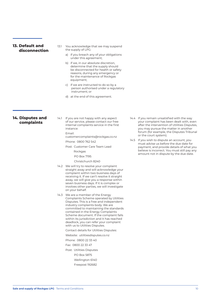#### **13. Default and disconnection**

- 13.1 You acknowledge that we may suspend the supply of LPG:
	- a) if you breach any of your obligations under this agreement;
	- b) if we, in our absolute discretion, determine that the supply should be disconnected for health or safety reasons, during any emergency or for the maintenance of Rockgas equipment;
	- c) if we are instructed to do so by a person authorised under a regulatory instrument; or
	- d) at the end of this agreement.

#### **14. Disputes and complaints**

14.1 If you are not happy with any aspect of our service, please contact our free internal complaints service in the first instance:

Email:

customercomplaints@rockgas.co.nz

Phone: 0800 762 542

Post: Customer Care Team Lead

- Rockgas
- PO Box 7195
- Christchurch 8240
- 14.2 We will try to resolve your complaint straight away and will acknowledge your complaint within two business days of receiving it. If we can't resolve it straight away, we will give you a response within seven business days. If it is complex or involves other parties, we will investigate on your behalf.
- 14.3 We are a member of the Energy Complaints Scheme operated by Utilities Disputes. This is a free and independent industry complaints body. We are committed to maintaining the standards contained in the Energy Complaints Scheme document. If the complaint falls within its jurisdiction and it has reached deadlock, you can refer your complaint with us to Utilities Disputes.
	- Contact details for Utilities Disputes:

Website: utilitiesdisputes.co.nz

Phone: 0800 22 33 40

Fax: 0800 22 33 47

- Post: Utilities Disputes
	- PO Box 5875
	- Wellington 6140
	- Freepost 192682

14.4 If you remain unsatisfied with the way your complaint has been dealt with, even after the intervention of Utilities Disputes, you may pursue the matter in another forum (for example, the Disputes Tribunal or the court system).

14.5 If you wish to dispute an account, you must advise us before the due date for payment, and provide details of what you believe is incorrect. You must still pay any amount not in dispute by the due date.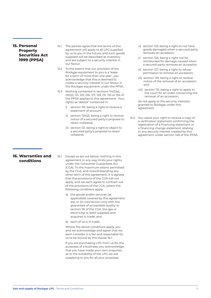#### **15. Personal Property Securities Act 1999 (PPSA)**

- 15.1 The parties agree that the terms of this agreement will apply to all LPG supplied by us to you in the future, and such goods supplied will be described as inventory and are subject to a security interest in our favour.
- 15.2 To the extent that our provision of the Rockgas equipment to you is a 'lease for a term of more than one year', you acknowledge that this is deemed to create a security interest in our favour in the Rockgas equipment under the PPSA.
- 15.3 Nothing contained in sections 114(1)(a), 120(2), 121, 125, 126, 127, 129, 131, 133 or 134 of the PPSA applies to this agreement. Your rights as 'debtor' contained in:
	- i) section 116, being a right to receive a statement of account;
	- ii) section 120(2), being a right to receive notice of a secured party's proposal to retain collateral;
	- iii) section 121, being a right to object to a secured party's proposal to retain collateral;
- iv) section 125, being a right to not have goods damaged when a secured party removes an accession;
- v) section 126, being a right not be reimbursed for damage caused when a secured party removes an accession;
- vi) section 127, being a right to refuse permission to remove an accession;
- vii) section 129, being a right to receive notice of the removal of an accession; and
- viii) section 131, being a right to apply to the court for an order concerning the removal of an accession,

 do not apply to the security interests granted to Rockgas under this agreement.

15.4 You waive your right to receive a copy of a verification statement confirming the registration of a financing statement or a financing change statement relating to any security interest created by this agreement under section 148 of the PPSA.

#### **16. Warranties and conditions**

- 16.1 Except as set out below, nothing in this agreement in any way limits your rights under the Consumer Guarantees Act (CGA). To the maximum extent permitted by the CGA, and notwithstanding any other term of this agreement, it is agreed that the provisions of the CGA will not apply, and we each agree to contract out of the provisions of the CGA, where the following conditions apply:
	- a) the goods and/or services (as applicable) covered by this agreement are, or (in connection only with the guarantee of acceptable quality in section 7A of the CGA, the gas or electricity) is, both supplied and acquired in trade; and
	- b) each of us is in trade.

 Where the above conditions apply, you and we acknowledge and agree that we each consider it is fair and reasonable for us to be bound by this clause 16.1.

 If you are purchasing LPG from us for the purposes of a business, you acknowledge that you have made your own enquiries as to the suitability of the LPG we are supplying to you for all your purposes.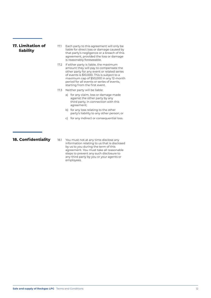| <b>17. Limitation of</b><br><b>liability</b> | 17.1 | Each party to this agreement will only be<br>liable for direct loss or damage caused by<br>that party's negligence or a breach of this<br>agreement, provided the loss or damage<br>is reasonably foreseeable.                                                                                            |
|----------------------------------------------|------|-----------------------------------------------------------------------------------------------------------------------------------------------------------------------------------------------------------------------------------------------------------------------------------------------------------|
|                                              | 17.2 | If either party is liable, the maximum<br>amount they will pay to compensate the<br>other party for any event or related series<br>of events is \$10,000. This is subject to a<br>maximum cap of \$50,000 in any 12-month<br>period for all events or series of events,<br>starting from the first event. |
|                                              | 17.3 | Neither party will be liable:                                                                                                                                                                                                                                                                             |
|                                              |      | for any claim, loss or damage made<br>a)<br>against the other party by any<br>third party, in connection with this<br>agreement;                                                                                                                                                                          |
|                                              |      | b) for any loss relating to the other<br>party's liability to any other person; or                                                                                                                                                                                                                        |
|                                              |      | for any indirect or consequential loss.<br>C)                                                                                                                                                                                                                                                             |
| <b>18. Confidentiality</b>                   | 18.1 | You must not at any time disclose any                                                                                                                                                                                                                                                                     |
|                                              |      | information relating to us that is disclosed<br>by us to you during the term of this<br>agreement. You must take all reasonable<br>steps to prevent any such disclosure to<br>any third party by you or your agents or                                                                                    |

employees.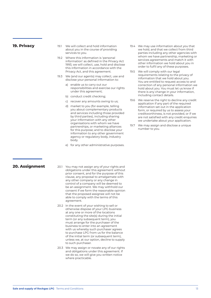#### **19. Privacy**

- 19.1 We will collect and hold information about you in the course of providing services to you.
- 19.2 Where this information is 'personal information' as defined in the Privacy Act 1993, we will collect, use, hold and disclose this information in accordance with the Privacy Act, and this agreement.
- 19.3 We (and our agents) may collect, use and disclose your personal information to:
	- a) enable us to carry out our responsibilities and exercise our rights under this agreement;
	- b) conduct credit checking;
	- c) recover any amounts owing to us;
	- d) market to you (for example, telling you about complementary products and services including those provided by third parties), including sharing your information with any other organisations with whom we have partnerships, or marketing alliances for this purpose; and to disclose your information to any other government agency or regulatory body, industry body.
	- e) for any other administrative purposes.
- 19.4 We may use information about you that we hold, and that we collect from third parties including any other agencies with whom we have partnership, marketing or services agreements and match it with other information we hold about you in order to fulfil any of these purposes.
- 19.5 We will comply with our legal requirements relating to the privacy of information that we hold about you. You are entitled to request access to and correction of any personal information we hold about you. You must let us know if there is any change in your information, including contact details.
- 19.6 We reserve the right to decline any credit application if any part of the required information set out in the application form, or required by us to assess your creditworthiness, is not provided, or if we are not satisfied with any credit enquiries we undertake about your application.
- 19.7 We may assign and disclose a unique number to you.

#### **20. Assignment**

- 20.1 You may not assign any of your rights and obligations under this agreement without prior consent, and for the purpose of this clause, any proposal to amalgamate with any other company or any change in control of a company will be deemed to be an assignment. We may withhold our consent if we form the reasonable opinion that the proposed assignee will not be able to comply with the terms of this agreement.
- 20.2 In the event of your wishing to sell or otherwise dispose of your LPG business at any one or more of the locations constituting the site(s) during the initial term (or any subsequent term), you must arrange for the purchaser of the business to enter into an agreement with us whereby such purchaser agrees to purchase LPG from us for the balance of the initial term (or subsequent term), unless we, at our option, decline to supply to such purchaser.
- 20.3 We may assign or novate any of our rights and obligations under this agreement. If we do so, we will give you written notice where practicable.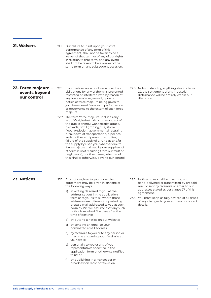**21. Waivers**

21.1 Our failure to insist upon your strict performance of any term of this agreement, shall not be taken to be a waiver of that term or of any of our rights in relation to that term, and any event shall not be taken to be a waiver of the same term on any subsequent occasion.

#### **22. Force majeure – events beyond our control**

- 22.1 If our performance or observance of our obligations (or any of them) is prevented, restricted or interfered with by reason of any force majeure, we will, upon prompt notice of force majeure being given to you, be excused from such performance or observance to the extent of such force majeure.
- 22.2 The term 'force majeure' includes any act of God, industrial disturbance, act of the public enemy, war, terrorist attack, blockade, riot, lightning, fire, storm, flood, explosion, governmental restraint, breakdown of transportation, pipelines and/or other equipment or supplies, failure of the supply of LPG to us and/or the supply by us to you, whether due to force majeure claimed by our suppliers of otherwise (not resulting from our fault or negligence), or other cause, whether of this kind or otherwise, beyond our control.
- 22.3 Notwithstanding anything else in clause 22, the settlement of any industrial disturbance will be entirely within our discretion.

#### **23. Notices**

- 23.1 Any notice given to you under the agreement may be given in any one of the following ways:
	- a) in writing delivered to you at the address set out in the application form or to your site(s) (where those addresses are different) or posted by prepaid mail addressed to you at such address. We will assume that any such notice is received five days after the time of posting;
	- b) by putting a notice on our website;
	- c) by sending an email to your nominated email address;
	- d) by facsimile to you or to any person or machine answering your facsimile at your site(s);
	- e) personally to you or any of your representatives specified in the application form or otherwise notified to us; or
	- f) by publishing in a newspaper or broadcast on radio or television.
- 23.2 Notices to us shall be in writing and hand-delivered or transmitted by prepaid mail or sent by facsimile or email to our addresses stated as per clause 27 of this agreement.
- 23.3 You must keep us fully advised at all times of any changes to your address or contact details.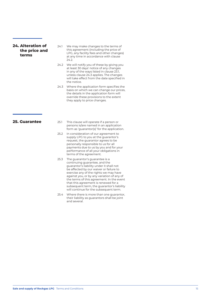#### **24. Alteration of the price and terms**

- 24.1 We may make changes to the terms of this agreement (including the price of LPG, any facility fees and other changes) at any time in accordance with clause 24.2.
- 24.2 We will notify you of these by giving you at least 30 days' notice of any changes in any of the ways listed in clause 23.1, unless clause 24.3 applies. The changes will take effect from the date specified in the notice.
- 24.3 Where the application form specifies the basis on which we can change our prices, the details in the application form will override these provisions to the extent they apply to price changes.

#### **25. Guarantee**

- 25.1 This clause will operate if a person or persons is/are named in an application form as 'guarantor(s)' for the application.
- 25.2 In consideration of our agreement to supply LPG to you at the guarantor's request, the guarantor agrees to be personally responsible to us for all payments due to us by you and for your performance of all your obligations in terms of the agreement.
- 25.3 The guarantor's guarantee is a continuing guarantee, and the guarantor's liability under it shall not be affected by our waiver or failure to exercise any of the rights we may have against you, or by any variation of any of the terms of this agreement. In the event that this agreement is renewed for a subsequent term, the guarantor's liability will continue for the subsequent term.
- 25.4 Where there is more than one guarantor, their liability as guarantors shall be joint and several.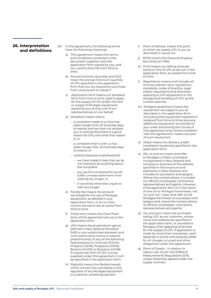#### **26. Interpretation and definitions**

- 26.1 In this agreement, the following terms have the following meanings:
	- a) *This agreement* means the terms and conditions contained in this document, together with the application form signed by you, and our current price list from time to time.
	- b) *Annual Contract Quantity* and *ACQ* mean the annual minimum quantity of LPG specified in the application form that you are required to purchase from us pursuant to clause 7.
	- c) *Application form* means our standard form from time to time used to apply for the supply of LPG and/or the hire or supply of Rockgas equipment, signed by you and by one of our representatives on our behalf.
	- d) *Deadlock* means where:
		- a complaint made to us that has taken longer than 20 business days to resolve and we have not advised you in writing that there is a good reason for this, and what that reason is, or
		- $\cdot$  a complaint that is with us has taken longer than 40 business days to resolve, or
		- Utilities Disputes is satisfied that:
			- we have made it clear that we do not intend to do anything about the complaint
			- you (as the complainant) would suffer unreasonable harm from waiting any longer, or
			- it would be otherwise unjust to wait any longer.
	- e) *Facility fee* means the amount we charge for the use of Rockgas equipment, as detailed in any application form, or at our then current standard rate as varied from time to time.
	- f) *Initial term* means the initial fixed term of this agreement set out in the application form.
	- g) *LPG* means liquid petroleum gas as defined in New Zealand Standard 5435 or any substituted standard, and more particularly means a material predominantly of any of the following hydrocarbons or mixtures of them: Propane (C3H8), Propylene (C3H6), Butane (C4H10) or Butylene (C4H8). If a particular form of LPG is to be supplied under this agreement, it will be specified in the application form.
	- h) *Pigtail(s)* means the flexible hose(s) which connect the cylinder(s) to the regulator of any Rockgas equipment or customer-owned equipment.
- i) *Point of delivery* means the point at which we supply LPG to you as described in clause 4.6
- j) *PPSA* means the Personal Property Securities Act 1999.
- k) *Price* means our selling price per tonne or litre of LPG as set out in the application form, as varied from time to time.
- l) *Regulations* means and includes all and any relevant laws, regulations, standards, codes of practice, legal orders, requisitions and directions applying to LPG equipment or the storage and handling of LPG, as the context requires.
- m) *Rockgas equipment* means the equipment we supply to you as described in the application form (including that equipment repaired or replaced from time to time) plus any additional equipment we provide to you under and during the course of this agreement and, where consistent with this agreement, means any part of such equipment.
- n) *Site(s)* means the delivery and/or installation location(s) specified in the application form.
- o) *We, us* and *our* mean and refer to Rockgas Limited, a company incorporated in New Zealand and carrying on business at the address specified in this brochure and elsewhere in New Zealand, and includes its successors and assigns. Where the context allows, it includes our officers, employees, contractors, representatives and agents. However, if the application form is in the name of one of our Rockgas franchisees, 'we', 'us' and 'our' mean and refer to the Rockgas franchisee, its successors and assigns and, where the context allows, its officers, employees, contractors, representatives and agents.
- p) *You* and *your* mean the purchaser taking LPG as our customer, whose name and address are specified in the application form, or provided to Rockgas when applying otherwise for the supply of LPG. If application is made by more than one person, each applicant is jointly and severally liable for all charges incurred and other obligations under this agreement.
- q) *Point of Supply* in relation to vapour use, as per Gas (Safety & Measurement) Regulations 2010, unless otherwise agreed under the supply contract.